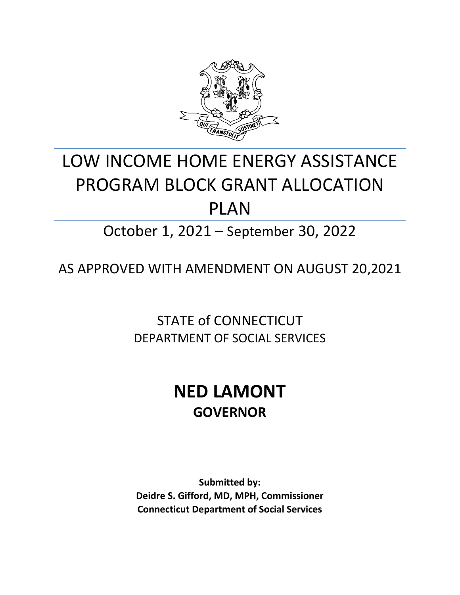

# LOW INCOME HOME ENERGY ASSISTANCE PROGRAM BLOCK GRANT ALLOCATION PLAN

October 1, 2021 – September 30, 2022

AS APPROVED WITH AMENDMENT ON AUGUST 20,2021

STATE of CONNECTICUT DEPARTMENT OF SOCIAL SERVICES

## **NED LAMONT GOVERNOR**

**Submitted by: Deidre S. Gifford, MD, MPH, Commissioner Connecticut Department of Social Services**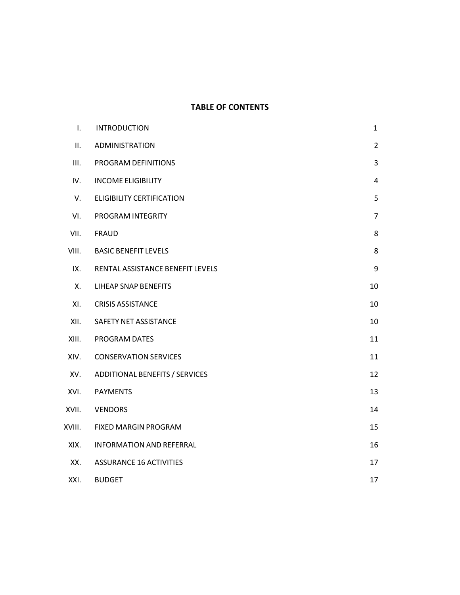#### **TABLE OF CONTENTS**

| I.     | <b>INTRODUCTION</b>              | $\mathbf{1}$   |
|--------|----------------------------------|----------------|
| ΙΙ.    | ADMINISTRATION                   | $\overline{2}$ |
| III.   | PROGRAM DEFINITIONS              | 3              |
| IV.    | <b>INCOME ELIGIBILITY</b>        | 4              |
| V.     | <b>ELIGIBILITY CERTIFICATION</b> | 5              |
| VI.    | PROGRAM INTEGRITY                | $\overline{7}$ |
| VII.   | <b>FRAUD</b>                     | 8              |
| VIII.  | <b>BASIC BENEFIT LEVELS</b>      | 8              |
| IX.    | RENTAL ASSISTANCE BENEFIT LEVELS | 9              |
| Х.     | <b>LIHEAP SNAP BENEFITS</b>      | 10             |
| XI.    | <b>CRISIS ASSISTANCE</b>         | 10             |
| XII.   | SAFETY NET ASSISTANCE            | 10             |
| XIII.  | PROGRAM DATES                    | 11             |
| XIV.   | <b>CONSERVATION SERVICES</b>     | 11             |
| XV.    | ADDITIONAL BENEFITS / SERVICES   | 12             |
| XVI.   | <b>PAYMENTS</b>                  | 13             |
| XVII.  | <b>VENDORS</b>                   | 14             |
| XVIII. | FIXED MARGIN PROGRAM             | 15             |
| XIX.   | <b>INFORMATION AND REFERRAL</b>  | 16             |
| XX.    | <b>ASSURANCE 16 ACTIVITIES</b>   | 17             |
| XXI.   | <b>BUDGET</b>                    | 17             |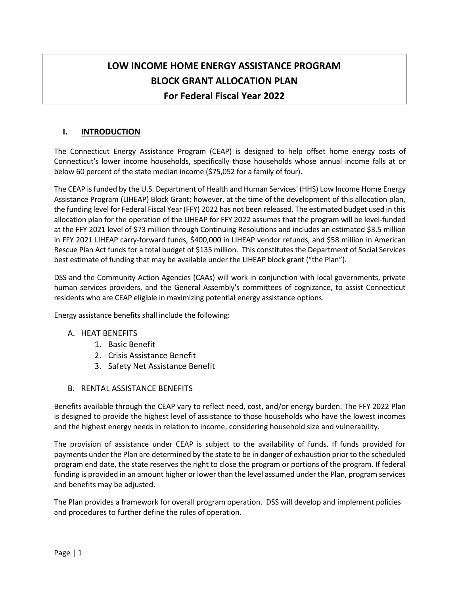### **LOW INCOME HOME ENERGY ASSISTANCE PROGRAM BLOCK GRANT ALLOCATION PLAN For Federal Fiscal Year 2022**

#### **I. INTRODUCTION**

The Connecticut Energy Assistance Program (CEAP) is designed to help offset home energy costs of Connecticut's lower income households, specifically those households whose annual income falls at or below 60 percent of the state median income (\$75,052 for a family of four).

The CEAP is funded by the U.S. Department of Health and Human Services' (HHS) Low Income Home Energy Assistance Program (LIHEAP) Block Grant; however, at the time of the development of this allocation plan, the funding level for Federal Fiscal Year (FFY) 2022 has not been released. The estimated budget used in this allocation plan for the operation of the LIHEAP for FFY 2022 assumes that the program will be level-funded at the FFY 2021 level of \$73 million through Continuing Resolutions and includes an estimated \$3.5 million in FFY 2021 LIHEAP carry-forward funds, \$400,000 in LIHEAP vendor refunds, and \$58 million in American Rescue Plan Act funds for a total budget of \$135 million. This constitutes the Department of Social Services best estimate of funding that may be available under the LIHEAP block grant ("the Plan").

DSS and the Community Action Agencies (CAAs) will work in conjunction with local governments, private human services providers, and the General Assembly's committees of cognizance, to assist Connecticut residents who are CEAP eligible in maximizing potential energy assistance options.

Energy assistance benefits shall include the following:

#### A. HEAT BENEFITS

- 1. Basic Benefit
- 2. Crisis Assistance Benefit
- 3. Safety Net Assistance Benefit

#### B. RENTAL ASSISTANCE BENEFITS

Benefits available through the CEAP vary to reflect need, cost, and/or energy burden. The FFY 2022 Plan is designed to provide the highest level of assistance to those households who have the lowest incomes and the highest energy needs in relation to income, considering household size and vulnerability.

The provision of assistance under CEAP is subject to the availability of funds. If funds provided for payments under the Plan are determined by the state to be in danger of exhaustion prior to the scheduled program end date, the state reserves the right to close the program or portions of the program. If federal funding is provided in an amount higher or lower than the level assumed under the Plan, program services and benefits may be adjusted.

The Plan provides a framework for overall program operation. DSS will develop and implement policies and procedures to further define the rules of operation.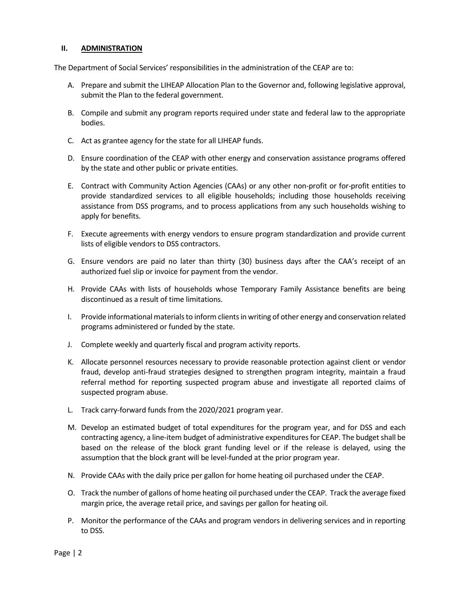#### **II. ADMINISTRATION**

The Department of Social Services' responsibilities in the administration of the CEAP are to:

- A. Prepare and submit the LIHEAP Allocation Plan to the Governor and, following legislative approval, submit the Plan to the federal government.
- B. Compile and submit any program reports required under state and federal law to the appropriate bodies.
- C. Act as grantee agency for the state for all LIHEAP funds.
- D. Ensure coordination of the CEAP with other energy and conservation assistance programs offered by the state and other public or private entities.
- E. Contract with Community Action Agencies (CAAs) or any other non-profit or for-profit entities to provide standardized services to all eligible households; including those households receiving assistance from DSS programs, and to process applications from any such households wishing to apply for benefits.
- F. Execute agreements with energy vendors to ensure program standardization and provide current lists of eligible vendors to DSS contractors.
- G. Ensure vendors are paid no later than thirty (30) business days after the CAA's receipt of an authorized fuel slip or invoice for payment from the vendor.
- H. Provide CAAs with lists of households whose Temporary Family Assistance benefits are being discontinued as a result of time limitations.
- I. Provide informational materials to inform clients in writing of other energy and conservation related programs administered or funded by the state.
- J. Complete weekly and quarterly fiscal and program activity reports.
- K. Allocate personnel resources necessary to provide reasonable protection against client or vendor fraud, develop anti-fraud strategies designed to strengthen program integrity, maintain a fraud referral method for reporting suspected program abuse and investigate all reported claims of suspected program abuse.
- L. Track carry-forward funds from the 2020/2021 program year.
- M. Develop an estimated budget of total expenditures for the program year, and for DSS and each contracting agency, a line-item budget of administrative expenditures for CEAP. The budget shall be based on the release of the block grant funding level or if the release is delayed, using the assumption that the block grant will be level-funded at the prior program year.
- N. Provide CAAs with the daily price per gallon for home heating oil purchased under the CEAP.
- O. Track the number of gallons of home heating oil purchased under the CEAP. Track the average fixed margin price, the average retail price, and savings per gallon for heating oil.
- P. Monitor the performance of the CAAs and program vendors in delivering services and in reporting to DSS.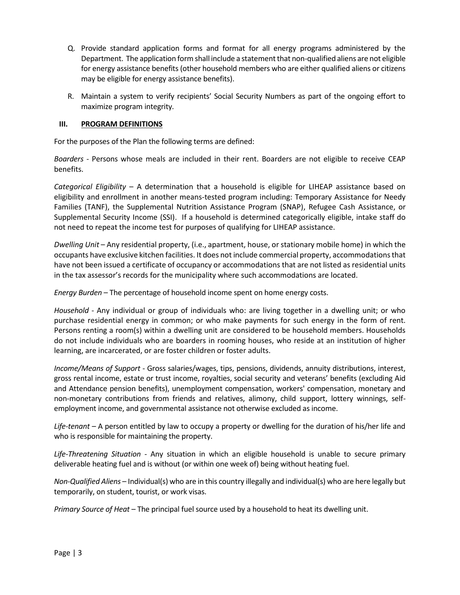- Q. Provide standard application forms and format for all energy programs administered by the Department. The application form shall include a statement that non-qualified aliens are not eligible for energy assistance benefits (other household members who are either qualified aliens or citizens may be eligible for energy assistance benefits).
- R. Maintain a system to verify recipients' Social Security Numbers as part of the ongoing effort to maximize program integrity.

#### **III. PROGRAM DEFINITIONS**

For the purposes of the Plan the following terms are defined:

*Boarders* - Persons whose meals are included in their rent. Boarders are not eligible to receive CEAP benefits.

*Categorical Eligibility* – A determination that a household is eligible for LIHEAP assistance based on eligibility and enrollment in another means-tested program including: Temporary Assistance for Needy Families (TANF), the Supplemental Nutrition Assistance Program (SNAP), Refugee Cash Assistance, or Supplemental Security Income (SSI). If a household is determined categorically eligible, intake staff do not need to repeat the income test for purposes of qualifying for LIHEAP assistance.

*Dwelling Unit* – Any residential property, (i.e., apartment, house, or stationary mobile home) in which the occupants have exclusive kitchen facilities. It does not include commercial property, accommodations that have not been issued a certificate of occupancy or accommodations that are not listed as residential units in the tax assessor's records for the municipality where such accommodations are located.

*Energy Burden* – The percentage of household income spent on home energy costs.

*Household* - Any individual or group of individuals who: are living together in a dwelling unit; or who purchase residential energy in common; or who make payments for such energy in the form of rent. Persons renting a room(s) within a dwelling unit are considered to be household members. Households do not include individuals who are boarders in rooming houses, who reside at an institution of higher learning, are incarcerated, or are foster children or foster adults.

*Income/Means of Support* - Gross salaries/wages, tips, pensions, dividends, annuity distributions, interest, gross rental income, estate or trust income, royalties, social security and veterans' benefits (excluding Aid and Attendance pension benefits), unemployment compensation, workers' compensation, monetary and non-monetary contributions from friends and relatives, alimony, child support, lottery winnings, selfemployment income, and governmental assistance not otherwise excluded as income.

*Life-tenant –* A person entitled by law to occupy a property or dwelling for the duration of his/her life and who is responsible for maintaining the property.

*Life-Threatening Situation* - Any situation in which an eligible household is unable to secure primary deliverable heating fuel and is without (or within one week of) being without heating fuel.

*Non-Qualified Aliens* – Individual(s) who are in this country illegally and individual(s) who are here legally but temporarily, on student, tourist, or work visas.

*Primary Source of Heat* – The principal fuel source used by a household to heat its dwelling unit.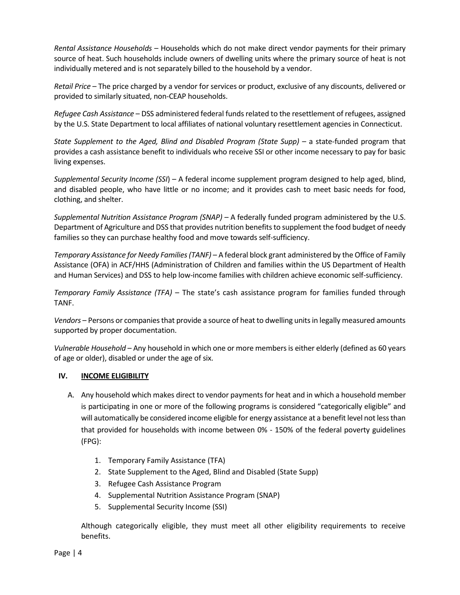*Rental Assistance Households* – Households which do not make direct vendor payments for their primary source of heat. Such households include owners of dwelling units where the primary source of heat is not individually metered and is not separately billed to the household by a vendor.

*Retail Price* – The price charged by a vendor for services or product, exclusive of any discounts, delivered or provided to similarly situated, non-CEAP households.

*Refugee Cash Assistance* – DSS administered federal funds related to the resettlement of refugees, assigned by the U.S. State Department to local affiliates of national voluntary resettlement agencies in Connecticut.

*State Supplement to the Aged, Blind and Disabled Program (State Supp) –* a state-funded program that provides a cash assistance benefit to individuals who receive SSI or other income necessary to pay for basic living expenses.

*Supplemental Security Income (SSI*) – A federal income supplement program designed to help aged, blind, and disabled people, who have little or no income; and it provides cash to meet basic needs for food, clothing, and shelter.

*Supplemental Nutrition Assistance Program (SNAP)* – A federally funded program administered by the U.S. Department of Agriculture and DSS that provides nutrition benefits to supplement the food budget of needy families so they can purchase healthy food and move towards self-sufficiency.

*Temporary Assistance for Needy Families(TANF)* – A federal block grant administered by the Office of Family Assistance (OFA) in ACF/HHS (Administration of Children and families within the US Department of Health and Human Services) and DSS to help low-income families with children achieve economic self-sufficiency.

*Temporary Family Assistance (TFA)* – The state's cash assistance program for families funded through TANF.

*Vendors* – Persons or companies that provide a source of heat to dwelling units in legally measured amounts supported by proper documentation.

*Vulnerable Household* – Any household in which one or more members is either elderly (defined as 60 years of age or older), disabled or under the age of six.

#### **IV. INCOME ELIGIBILITY**

- A. Any household which makes direct to vendor payments for heat and in which a household member is participating in one or more of the following programs is considered "categorically eligible" and will automatically be considered income eligible for energy assistance at a benefit level not less than that provided for households with income between 0% - 150% of the federal poverty guidelines (FPG):
	- 1. Temporary Family Assistance (TFA)
	- 2. State Supplement to the Aged, Blind and Disabled (State Supp)
	- 3. Refugee Cash Assistance Program
	- 4. Supplemental Nutrition Assistance Program (SNAP)
	- 5. Supplemental Security Income (SSI)

Although categorically eligible, they must meet all other eligibility requirements to receive benefits.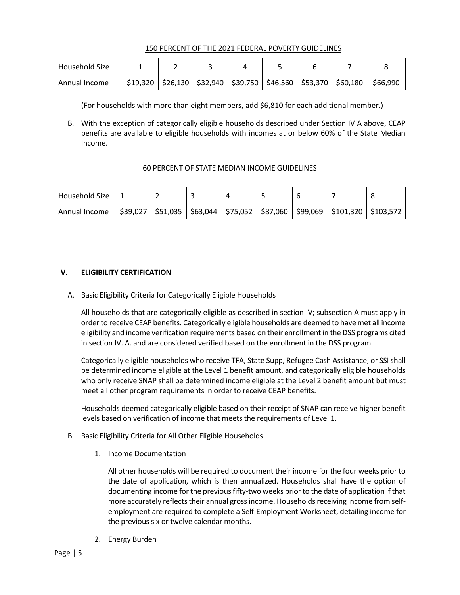#### 150 PERCENT OF THE 2021 FEDERAL POVERTY GUIDELINES

| Household Size |  |  |  |                                                                                   |          |
|----------------|--|--|--|-----------------------------------------------------------------------------------|----------|
| Annual Income  |  |  |  | $$19,320$   $$26,130$   $$32,940$   $$39,750$   $$46,560$   $$53,370$   $$60,180$ | \$66,990 |

(For households with more than eight members, add \$6,810 for each additional member.)

B. With the exception of categorically eligible households described under Section IV A above, CEAP benefits are available to eligible households with incomes at or below 60% of the State Median Income.

#### 60 PERCENT OF STATE MEDIAN INCOME GUIDELINES

| Household Size |  |  |  |                                                                                         |  |
|----------------|--|--|--|-----------------------------------------------------------------------------------------|--|
| Annual Income  |  |  |  | \$39,027   \$51,035   \$63,044   \$75,052   \$87,060   \$99,069   \$101,320   \$103,572 |  |

#### **V. ELIGIBILITY CERTIFICATION**

A. Basic Eligibility Criteria for Categorically Eligible Households

All households that are categorically eligible as described in section IV; subsection A must apply in order to receive CEAP benefits. Categorically eligible households are deemed to have met all income eligibility and income verification requirements based on their enrollment in the DSS programs cited in section IV. A. and are considered verified based on the enrollment in the DSS program.

Categorically eligible households who receive TFA, State Supp, Refugee Cash Assistance, or SSI shall be determined income eligible at the Level 1 benefit amount, and categorically eligible households who only receive SNAP shall be determined income eligible at the Level 2 benefit amount but must meet all other program requirements in order to receive CEAP benefits.

Households deemed categorically eligible based on their receipt of SNAP can receive higher benefit levels based on verification of income that meets the requirements of Level 1.

- B. Basic Eligibility Criteria for All Other Eligible Households
	- 1. Income Documentation

All other households will be required to document their income for the four weeks prior to the date of application, which is then annualized. Households shall have the option of documenting income for the previous fifty-two weeks prior to the date of application if that more accurately reflects their annual gross income. Households receiving income from selfemployment are required to complete a Self-Employment Worksheet, detailing income for the previous six or twelve calendar months.

2. Energy Burden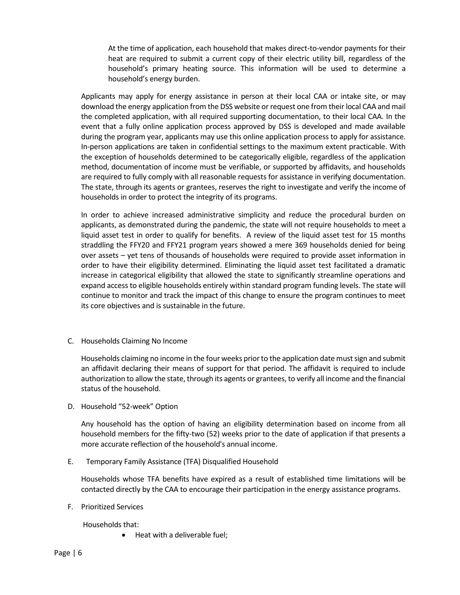At the time of application, each household that makes direct-to-vendor payments for their heat are required to submit a current copy of their electric utility bill, regardless of the household's primary heating source. This information will be used to determine a household's energy burden.

Applicants may apply for energy assistance in person at their local CAA or intake site, or may download the energy application from the DSS website or request one from their local CAA and mail the completed application, with all required supporting documentation, to their local CAA. In the event that a fully online application process approved by DSS is developed and made available during the program year, applicants may use this online application process to apply for assistance. In-person applications are taken in confidential settings to the maximum extent practicable. With the exception of households determined to be categorically eligible, regardless of the application method, documentation of income must be verifiable, or supported by affidavits, and households are required to fully comply with all reasonable requests for assistance in verifying documentation. The state, through its agents or grantees, reserves the right to investigate and verify the income of households in order to protect the integrity of its programs.

In order to achieve increased administrative simplicity and reduce the procedural burden on applicants, as demonstrated during the pandemic, the state will not require households to meet a liquid asset test in order to qualify for benefits. A review of the liquid asset test for 15 months straddling the FFY20 and FFY21 program years showed a mere 369 households denied for being over assets – yet tens of thousands of households were required to provide asset information in order to have their eligibility determined. Eliminating the liquid asset test facilitated a dramatic increase in categorical eligibility that allowed the state to significantly streamline operations and expand access to eligible households entirely within standard program funding levels. The state will continue to monitor and track the impact of this change to ensure the program continues to meet its core objectives and is sustainable in the future.

C. Households Claiming No Income

Households claiming no income in the four weeks prior to the application date must sign and submit an affidavit declaring their means of support for that period. The affidavit is required to include authorization to allow the state, through its agents or grantees, to verify all income and the financial status of the household.

D. Household "52-week" Option

Any household has the option of having an eligibility determination based on income from all household members for the fifty-two (52) weeks prior to the date of application if that presents a more accurate reflection of the household's annual income.

E. Temporary Family Assistance (TFA) Disqualified Household

Households whose TFA benefits have expired as a result of established time limitations will be contacted directly by the CAA to encourage their participation in the energy assistance programs.

F. Prioritized Services

Households that:

• Heat with a deliverable fuel;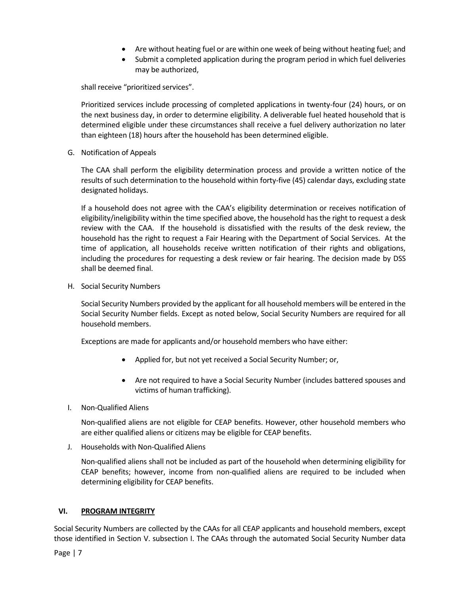- Are without heating fuel or are within one week of being without heating fuel; and
- Submit a completed application during the program period in which fuel deliveries may be authorized,

shall receive "prioritized services".

Prioritized services include processing of completed applications in twenty-four (24) hours, or on the next business day, in order to determine eligibility. A deliverable fuel heated household that is determined eligible under these circumstances shall receive a fuel delivery authorization no later than eighteen (18) hours after the household has been determined eligible.

G. Notification of Appeals

The CAA shall perform the eligibility determination process and provide a written notice of the results of such determination to the household within forty-five (45) calendar days, excluding state designated holidays.

If a household does not agree with the CAA's eligibility determination or receives notification of eligibility/ineligibility within the time specified above, the household has the right to request a desk review with the CAA. If the household is dissatisfied with the results of the desk review, the household has the right to request a Fair Hearing with the Department of Social Services. At the time of application, all households receive written notification of their rights and obligations, including the procedures for requesting a desk review or fair hearing. The decision made by DSS shall be deemed final.

H. Social Security Numbers

Social Security Numbers provided by the applicant for all household members will be entered in the Social Security Number fields. Except as noted below, Social Security Numbers are required for all household members.

Exceptions are made for applicants and/or household members who have either:

- Applied for, but not yet received a Social Security Number; or,
- Are not required to have a Social Security Number (includes battered spouses and victims of human trafficking).
- I. Non-Qualified Aliens

Non-qualified aliens are not eligible for CEAP benefits. However, other household members who are either qualified aliens or citizens may be eligible for CEAP benefits.

J. Households with Non-Qualified Aliens

Non-qualified aliens shall not be included as part of the household when determining eligibility for CEAP benefits; however, income from non-qualified aliens are required to be included when determining eligibility for CEAP benefits.

#### **VI. PROGRAM INTEGRITY**

Social Security Numbers are collected by the CAAs for all CEAP applicants and household members, except those identified in Section V. subsection I. The CAAs through the automated Social Security Number data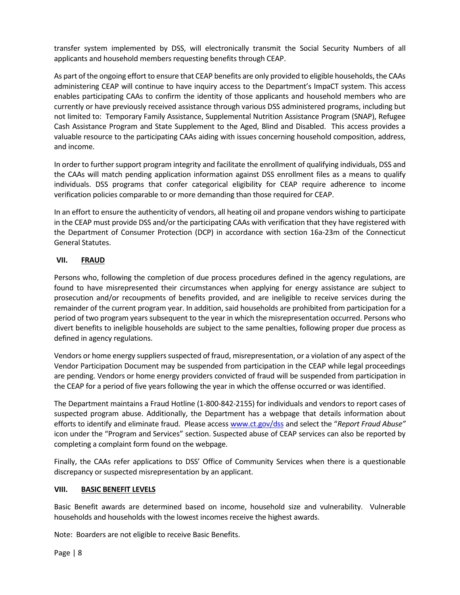transfer system implemented by DSS, will electronically transmit the Social Security Numbers of all applicants and household members requesting benefits through CEAP.

As part of the ongoing effort to ensure that CEAP benefits are only provided to eligible households, the CAAs administering CEAP will continue to have inquiry access to the Department's ImpaCT system. This access enables participating CAAs to confirm the identity of those applicants and household members who are currently or have previously received assistance through various DSS administered programs, including but not limited to: Temporary Family Assistance, Supplemental Nutrition Assistance Program (SNAP), Refugee Cash Assistance Program and State Supplement to the Aged, Blind and Disabled. This access provides a valuable resource to the participating CAAs aiding with issues concerning household composition, address, and income.

In order to further support program integrity and facilitate the enrollment of qualifying individuals, DSS and the CAAs will match pending application information against DSS enrollment files as a means to qualify individuals. DSS programs that confer categorical eligibility for CEAP require adherence to income verification policies comparable to or more demanding than those required for CEAP.

In an effort to ensure the authenticity of vendors, all heating oil and propane vendors wishing to participate in the CEAP must provide DSS and/or the participating CAAs with verification that they have registered with the Department of Consumer Protection (DCP) in accordance with section 16a-23m of the Connecticut General Statutes.

#### **VII. FRAUD**

Persons who, following the completion of due process procedures defined in the agency regulations, are found to have misrepresented their circumstances when applying for energy assistance are subject to prosecution and/or recoupments of benefits provided, and are ineligible to receive services during the remainder of the current program year. In addition, said households are prohibited from participation for a period of two program years subsequent to the year in which the misrepresentation occurred. Persons who divert benefits to ineligible households are subject to the same penalties, following proper due process as defined in agency regulations.

Vendors or home energy suppliers suspected of fraud, misrepresentation, or a violation of any aspect of the Vendor Participation Document may be suspended from participation in the CEAP while legal proceedings are pending. Vendors or home energy providers convicted of fraud will be suspended from participation in the CEAP for a period of five years following the year in which the offense occurred or was identified.

The Department maintains a Fraud Hotline (1-800-842-2155) for individuals and vendors to report cases of suspected program abuse. Additionally, the Department has a webpage that details information about efforts to identify and eliminate fraud. Please access [www.ct.gov/dss](http://www.ct.gov/dss) and select the "*Report Fraud Abuse"* icon under the "Program and Services" section. Suspected abuse of CEAP services can also be reported by completing a complaint form found on the webpage.

Finally, the CAAs refer applications to DSS' Office of Community Services when there is a questionable discrepancy or suspected misrepresentation by an applicant.

#### **VIII. BASIC BENEFIT LEVELS**

Basic Benefit awards are determined based on income, household size and vulnerability. Vulnerable households and households with the lowest incomes receive the highest awards.

Note: Boarders are not eligible to receive Basic Benefits.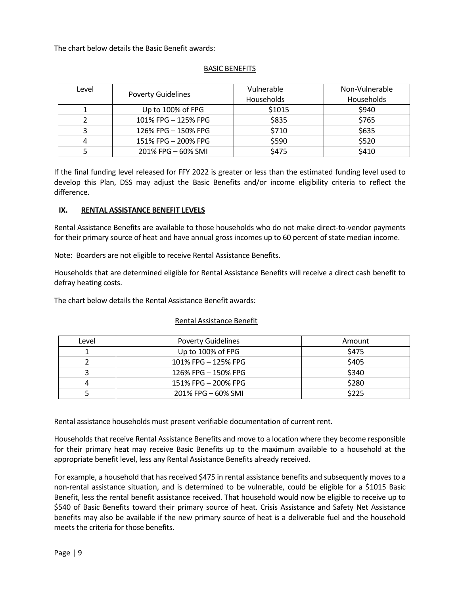The chart below details the Basic Benefit awards:

| Level | <b>Poverty Guidelines</b> | Vulnerable | Non-Vulnerable |
|-------|---------------------------|------------|----------------|
|       |                           | Households | Households     |
|       | Up to 100% of FPG         | \$1015     | \$940          |
|       | 101% FPG - 125% FPG       | \$835      | \$765          |
|       | 126% FPG - 150% FPG       | \$710      | \$635          |
|       | 151% FPG - 200% FPG       | \$590      | \$520          |
|       | 201% FPG - 60% SMI        | \$475      | \$410          |

#### BASIC BENEFITS

If the final funding level released for FFY 2022 is greater or less than the estimated funding level used to develop this Plan, DSS may adjust the Basic Benefits and/or income eligibility criteria to reflect the difference.

#### **IX. RENTAL ASSISTANCE BENEFIT LEVELS**

Rental Assistance Benefits are available to those households who do not make direct-to-vendor payments for their primary source of heat and have annual gross incomes up to 60 percent of state median income.

Note: Boarders are not eligible to receive Rental Assistance Benefits.

Households that are determined eligible for Rental Assistance Benefits will receive a direct cash benefit to defray heating costs.

The chart below details the Rental Assistance Benefit awards:

#### Rental Assistance Benefit

| Level | <b>Poverty Guidelines</b> | Amount |
|-------|---------------------------|--------|
|       | Up to 100% of FPG         | \$475  |
|       | 101% FPG - 125% FPG       | \$405  |
|       | 126% FPG - 150% FPG       | \$340  |
| 4     | 151% FPG - 200% FPG       | \$280  |
|       | 201% FPG - 60% SMI        | \$225  |

Rental assistance households must present verifiable documentation of current rent.

Households that receive Rental Assistance Benefits and move to a location where they become responsible for their primary heat may receive Basic Benefits up to the maximum available to a household at the appropriate benefit level, less any Rental Assistance Benefits already received.

For example, a household that has received \$475 in rental assistance benefits and subsequently moves to a non-rental assistance situation, and is determined to be vulnerable, could be eligible for a \$1015 Basic Benefit, less the rental benefit assistance received. That household would now be eligible to receive up to \$540 of Basic Benefits toward their primary source of heat. Crisis Assistance and Safety Net Assistance benefits may also be available if the new primary source of heat is a deliverable fuel and the household meets the criteria for those benefits.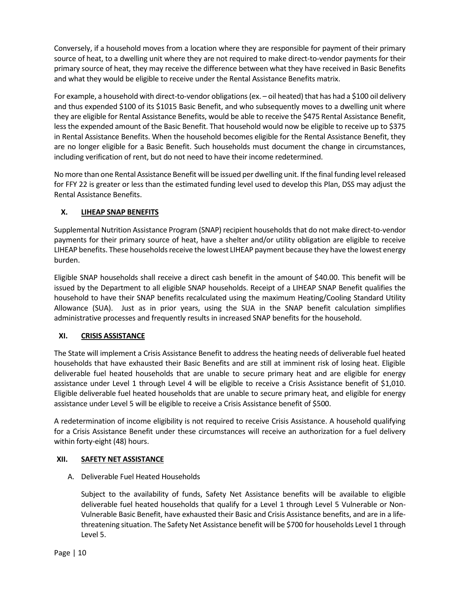Conversely, if a household moves from a location where they are responsible for payment of their primary source of heat, to a dwelling unit where they are not required to make direct-to-vendor payments for their primary source of heat, they may receive the difference between what they have received in Basic Benefits and what they would be eligible to receive under the Rental Assistance Benefits matrix.

For example, a household with direct-to-vendor obligations (ex. – oil heated) that has had a \$100 oil delivery and thus expended \$100 of its \$1015 Basic Benefit, and who subsequently moves to a dwelling unit where they are eligible for Rental Assistance Benefits, would be able to receive the \$475 Rental Assistance Benefit, less the expended amount of the Basic Benefit. That household would now be eligible to receive up to \$375 in Rental Assistance Benefits. When the household becomes eligible for the Rental Assistance Benefit, they are no longer eligible for a Basic Benefit. Such households must document the change in circumstances, including verification of rent, but do not need to have their income redetermined.

No more than one Rental Assistance Benefit will be issued per dwelling unit. If the final funding level released for FFY 22 is greater or less than the estimated funding level used to develop this Plan, DSS may adjust the Rental Assistance Benefits.

#### **X. LIHEAP SNAP BENEFITS**

Supplemental Nutrition Assistance Program (SNAP) recipient households that do not make direct-to-vendor payments for their primary source of heat, have a shelter and/or utility obligation are eligible to receive LIHEAP benefits. These households receive the lowest LIHEAP payment because they have the lowest energy burden.

Eligible SNAP households shall receive a direct cash benefit in the amount of \$40.00. This benefit will be issued by the Department to all eligible SNAP households. Receipt of a LIHEAP SNAP Benefit qualifies the household to have their SNAP benefits recalculated using the maximum Heating/Cooling Standard Utility Allowance (SUA). Just as in prior years, using the SUA in the SNAP benefit calculation simplifies administrative processes and frequently results in increased SNAP benefits for the household.

#### **XI. CRISIS ASSISTANCE**

The State will implement a Crisis Assistance Benefit to address the heating needs of deliverable fuel heated households that have exhausted their Basic Benefits and are still at imminent risk of losing heat. Eligible deliverable fuel heated households that are unable to secure primary heat and are eligible for energy assistance under Level 1 through Level 4 will be eligible to receive a Crisis Assistance benefit of \$1,010. Eligible deliverable fuel heated households that are unable to secure primary heat, and eligible for energy assistance under Level 5 will be eligible to receive a Crisis Assistance benefit of \$500.

A redetermination of income eligibility is not required to receive Crisis Assistance. A household qualifying for a Crisis Assistance Benefit under these circumstances will receive an authorization for a fuel delivery within forty-eight (48) hours.

#### **XII. SAFETY NET ASSISTANCE**

A. Deliverable Fuel Heated Households

Subject to the availability of funds, Safety Net Assistance benefits will be available to eligible deliverable fuel heated households that qualify for a Level 1 through Level 5 Vulnerable or Non-Vulnerable Basic Benefit, have exhausted their Basic and Crisis Assistance benefits, and are in a lifethreatening situation. The Safety Net Assistance benefit will be \$700 for households Level 1 through Level 5.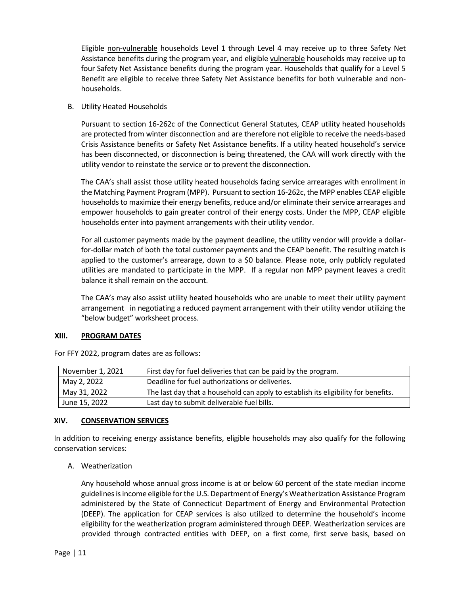Eligible non-vulnerable households Level 1 through Level 4 may receive up to three Safety Net Assistance benefits during the program year, and eligible vulnerable households may receive up to four Safety Net Assistance benefits during the program year. Households that qualify for a Level 5 Benefit are eligible to receive three Safety Net Assistance benefits for both vulnerable and nonhouseholds.

B. Utility Heated Households

Pursuant to section 16-262c of the Connecticut General Statutes, CEAP utility heated households are protected from winter disconnection and are therefore not eligible to receive the needs-based Crisis Assistance benefits or Safety Net Assistance benefits. If a utility heated household's service has been disconnected, or disconnection is being threatened, the CAA will work directly with the utility vendor to reinstate the service or to prevent the disconnection.

The CAA's shall assist those utility heated households facing service arrearages with enrollment in the Matching Payment Program (MPP). Pursuant to section 16-262c, the MPP enables CEAP eligible households to maximize their energy benefits, reduce and/or eliminate their service arrearages and empower households to gain greater control of their energy costs. Under the MPP, CEAP eligible households enter into payment arrangements with their utility vendor.

For all customer payments made by the payment deadline, the utility vendor will provide a dollarfor-dollar match of both the total customer payments and the CEAP benefit. The resulting match is applied to the customer's arrearage, down to a \$0 balance. Please note, only publicly regulated utilities are mandated to participate in the MPP. If a regular non MPP payment leaves a credit balance it shall remain on the account.

The CAA's may also assist utility heated households who are unable to meet their utility payment arrangement in negotiating a reduced payment arrangement with their utility vendor utilizing the "below budget" worksheet process.

#### **XIII. PROGRAM DATES**

| November 1, 2021 | First day for fuel deliveries that can be paid by the program.                     |
|------------------|------------------------------------------------------------------------------------|
| May 2, 2022      | Deadline for fuel authorizations or deliveries.                                    |
| May 31, 2022     | The last day that a household can apply to establish its eligibility for benefits. |
| June 15, 2022    | Last day to submit deliverable fuel bills.                                         |

For FFY 2022, program dates are as follows:

#### **XIV. CONSERVATION SERVICES**

In addition to receiving energy assistance benefits, eligible households may also qualify for the following conservation services:

A. Weatherization

Any household whose annual gross income is at or below 60 percent of the state median income guidelines is income eligible for the U.S. Department of Energy's Weatherization Assistance Program administered by the State of Connecticut Department of Energy and Environmental Protection (DEEP). The application for CEAP services is also utilized to determine the household's income eligibility for the weatherization program administered through DEEP. Weatherization services are provided through contracted entities with DEEP, on a first come, first serve basis, based on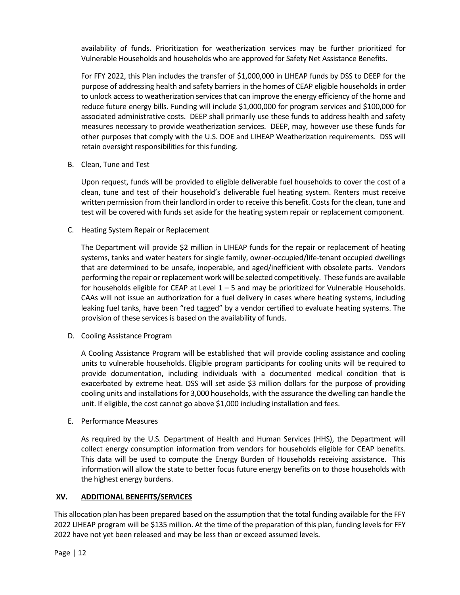availability of funds. Prioritization for weatherization services may be further prioritized for Vulnerable Households and households who are approved for Safety Net Assistance Benefits.

For FFY 2022, this Plan includes the transfer of \$1,000,000 in LIHEAP funds by DSS to DEEP for the purpose of addressing health and safety barriers in the homes of CEAP eligible households in order to unlock access to weatherization services that can improve the energy efficiency of the home and reduce future energy bills. Funding will include \$1,000,000 for program services and \$100,000 for associated administrative costs. DEEP shall primarily use these funds to address health and safety measures necessary to provide weatherization services. DEEP, may, however use these funds for other purposes that comply with the U.S. DOE and LIHEAP Weatherization requirements. DSS will retain oversight responsibilities for this funding.

#### B. Clean, Tune and Test

Upon request, funds will be provided to eligible deliverable fuel households to cover the cost of a clean, tune and test of their household's deliverable fuel heating system. Renters must receive written permission from their landlord in order to receive this benefit. Costs for the clean, tune and test will be covered with funds set aside for the heating system repair or replacement component.

#### C. Heating System Repair or Replacement

The Department will provide \$2 million in LIHEAP funds for the repair or replacement of heating systems, tanks and water heaters for single family, owner-occupied/life-tenant occupied dwellings that are determined to be unsafe, inoperable, and aged/inefficient with obsolete parts. Vendors performing the repair or replacement work will be selected competitively. These funds are available for households eligible for CEAP at Level 1 – 5 and may be prioritized for Vulnerable Households. CAAs will not issue an authorization for a fuel delivery in cases where heating systems, including leaking fuel tanks, have been "red tagged" by a vendor certified to evaluate heating systems. The provision of these services is based on the availability of funds.

#### D. Cooling Assistance Program

A Cooling Assistance Program will be established that will provide cooling assistance and cooling units to vulnerable households. Eligible program participants for cooling units will be required to provide documentation, including individuals with a documented medical condition that is exacerbated by extreme heat. DSS will set aside \$3 million dollars for the purpose of providing cooling units and installations for 3,000 households, with the assurance the dwelling can handle the unit. If eligible, the cost cannot go above \$1,000 including installation and fees.

#### E. Performance Measures

As required by the U.S. Department of Health and Human Services (HHS), the Department will collect energy consumption information from vendors for households eligible for CEAP benefits. This data will be used to compute the Energy Burden of Households receiving assistance. This information will allow the state to better focus future energy benefits on to those households with the highest energy burdens.

#### **XV. ADDITIONAL BENEFITS/SERVICES**

This allocation plan has been prepared based on the assumption that the total funding available for the FFY 2022 LIHEAP program will be \$135 million. At the time of the preparation of this plan, funding levels for FFY 2022 have not yet been released and may be less than or exceed assumed levels.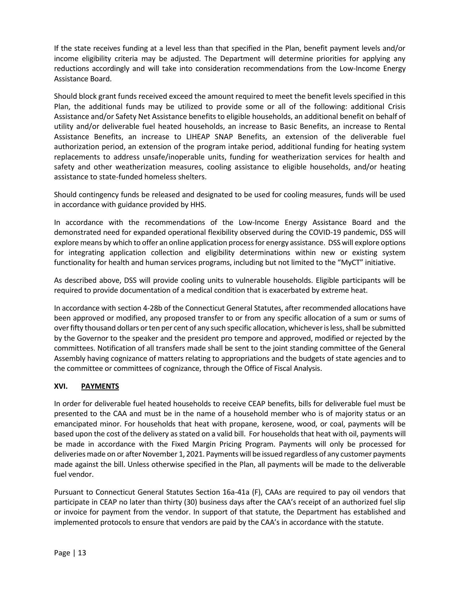If the state receives funding at a level less than that specified in the Plan, benefit payment levels and/or income eligibility criteria may be adjusted. The Department will determine priorities for applying any reductions accordingly and will take into consideration recommendations from the Low-Income Energy Assistance Board.

Should block grant funds received exceed the amount required to meet the benefit levels specified in this Plan, the additional funds may be utilized to provide some or all of the following: additional Crisis Assistance and/or Safety Net Assistance benefits to eligible households, an additional benefit on behalf of utility and/or deliverable fuel heated households, an increase to Basic Benefits, an increase to Rental Assistance Benefits, an increase to LIHEAP SNAP Benefits, an extension of the deliverable fuel authorization period, an extension of the program intake period, additional funding for heating system replacements to address unsafe/inoperable units, funding for weatherization services for health and safety and other weatherization measures, cooling assistance to eligible households, and/or heating assistance to state-funded homeless shelters.

Should contingency funds be released and designated to be used for cooling measures, funds will be used in accordance with guidance provided by HHS.

In accordance with the recommendations of the Low-Income Energy Assistance Board and the demonstrated need for expanded operational flexibility observed during the COVID-19 pandemic, DSS will explore means by which to offer an online application process for energy assistance. DSS will explore options for integrating application collection and eligibility determinations within new or existing system functionality for health and human services programs, including but not limited to the "MyCT" initiative.

As described above, DSS will provide cooling units to vulnerable households. Eligible participants will be required to provide documentation of a medical condition that is exacerbated by extreme heat.

In accordance with section 4-28b of the Connecticut General Statutes, after recommended allocations have been approved or modified, any proposed transfer to or from any specific allocation of a sum or sums of over fifty thousand dollars or ten per cent of any such specific allocation, whichever is less, shall be submitted by the Governor to the speaker and the president pro tempore and approved, modified or rejected by the committees. Notification of all transfers made shall be sent to the joint standing committee of the General Assembly having cognizance of matters relating to appropriations and the budgets of state agencies and to the committee or committees of cognizance, through the Office of Fiscal Analysis.

#### **XVI. PAYMENTS**

In order for deliverable fuel heated households to receive CEAP benefits, bills for deliverable fuel must be presented to the CAA and must be in the name of a household member who is of majority status or an emancipated minor. For households that heat with propane, kerosene, wood, or coal, payments will be based upon the cost of the delivery as stated on a valid bill. For households that heat with oil, payments will be made in accordance with the Fixed Margin Pricing Program. Payments will only be processed for deliveries made on or after November 1, 2021. Payments will be issued regardless of any customer payments made against the bill. Unless otherwise specified in the Plan, all payments will be made to the deliverable fuel vendor.

Pursuant to Connecticut General Statutes Section 16a-41a (F), CAAs are required to pay oil vendors that participate in CEAP no later than thirty (30) business days after the CAA's receipt of an authorized fuel slip or invoice for payment from the vendor. In support of that statute, the Department has established and implemented protocols to ensure that vendors are paid by the CAA's in accordance with the statute.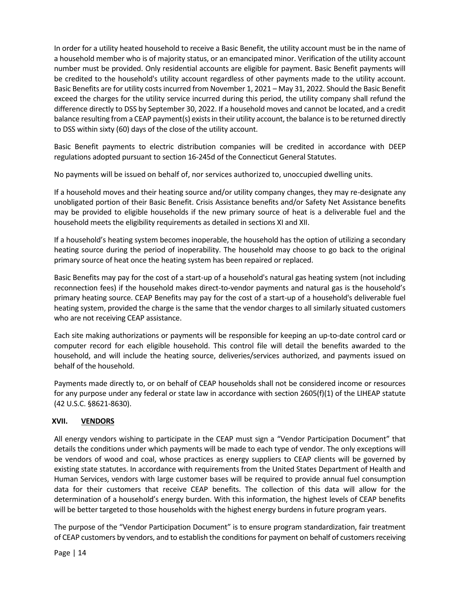In order for a utility heated household to receive a Basic Benefit, the utility account must be in the name of a household member who is of majority status, or an emancipated minor. Verification of the utility account number must be provided. Only residential accounts are eligible for payment. Basic Benefit payments will be credited to the household's utility account regardless of other payments made to the utility account. Basic Benefits are for utility costs incurred from November 1, 2021 – May 31, 2022. Should the Basic Benefit exceed the charges for the utility service incurred during this period, the utility company shall refund the difference directly to DSS by September 30, 2022. If a household moves and cannot be located, and a credit balance resulting from a CEAP payment(s) exists in their utility account, the balance is to be returned directly to DSS within sixty (60) days of the close of the utility account.

Basic Benefit payments to electric distribution companies will be credited in accordance with DEEP regulations adopted pursuant to section 16-245d of the Connecticut General Statutes.

No payments will be issued on behalf of, nor services authorized to, unoccupied dwelling units.

If a household moves and their heating source and/or utility company changes, they may re-designate any unobligated portion of their Basic Benefit. Crisis Assistance benefits and/or Safety Net Assistance benefits may be provided to eligible households if the new primary source of heat is a deliverable fuel and the household meets the eligibility requirements as detailed in sections XI and XII.

If a household's heating system becomes inoperable, the household has the option of utilizing a secondary heating source during the period of inoperability. The household may choose to go back to the original primary source of heat once the heating system has been repaired or replaced.

Basic Benefits may pay for the cost of a start-up of a household's natural gas heating system (not including reconnection fees) if the household makes direct-to-vendor payments and natural gas is the household's primary heating source. CEAP Benefits may pay for the cost of a start-up of a household's deliverable fuel heating system, provided the charge is the same that the vendor charges to all similarly situated customers who are not receiving CEAP assistance.

Each site making authorizations or payments will be responsible for keeping an up-to-date control card or computer record for each eligible household. This control file will detail the benefits awarded to the household, and will include the heating source, deliveries/services authorized, and payments issued on behalf of the household.

Payments made directly to, or on behalf of CEAP households shall not be considered income or resources for any purpose under any federal or state law in accordance with section 2605(f)(1) of the LIHEAP statute (42 U.S.C. §8621-8630).

#### **XVII. VENDORS**

All energy vendors wishing to participate in the CEAP must sign a "Vendor Participation Document" that details the conditions under which payments will be made to each type of vendor. The only exceptions will be vendors of wood and coal, whose practices as energy suppliers to CEAP clients will be governed by existing state statutes. In accordance with requirements from the United States Department of Health and Human Services, vendors with large customer bases will be required to provide annual fuel consumption data for their customers that receive CEAP benefits. The collection of this data will allow for the determination of a household's energy burden. With this information, the highest levels of CEAP benefits will be better targeted to those households with the highest energy burdens in future program years.

The purpose of the "Vendor Participation Document" is to ensure program standardization, fair treatment of CEAP customers by vendors, and to establish the conditions for payment on behalf of customers receiving

Page | 14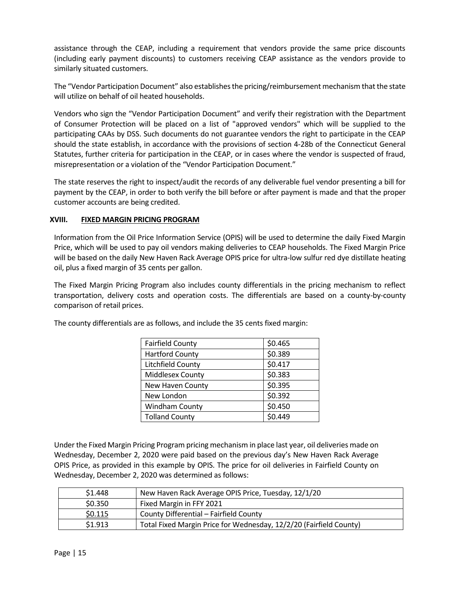assistance through the CEAP, including a requirement that vendors provide the same price discounts (including early payment discounts) to customers receiving CEAP assistance as the vendors provide to similarly situated customers.

The "Vendor Participation Document" also establishes the pricing/reimbursement mechanism that the state will utilize on behalf of oil heated households.

Vendors who sign the "Vendor Participation Document" and verify their registration with the Department of Consumer Protection will be placed on a list of "approved vendors" which will be supplied to the participating CAAs by DSS. Such documents do not guarantee vendors the right to participate in the CEAP should the state establish, in accordance with the provisions of section 4-28b of the Connecticut General Statutes, further criteria for participation in the CEAP, or in cases where the vendor is suspected of fraud, misrepresentation or a violation of the "Vendor Participation Document."

The state reserves the right to inspect/audit the records of any deliverable fuel vendor presenting a bill for payment by the CEAP, in order to both verify the bill before or after payment is made and that the proper customer accounts are being credited.

#### **XVIII. FIXED MARGIN PRICING PROGRAM**

Information from the Oil Price Information Service (OPIS) will be used to determine the daily Fixed Margin Price, which will be used to pay oil vendors making deliveries to CEAP households. The Fixed Margin Price will be based on the daily New Haven Rack Average OPIS price for ultra-low sulfur red dye distillate heating oil, plus a fixed margin of 35 cents per gallon.

The Fixed Margin Pricing Program also includes county differentials in the pricing mechanism to reflect transportation, delivery costs and operation costs. The differentials are based on a county-by-county comparison of retail prices.

| <b>Fairfield County</b> | \$0.465 |
|-------------------------|---------|
| <b>Hartford County</b>  | \$0.389 |
| Litchfield County       | \$0.417 |
| Middlesex County        | \$0.383 |
| New Haven County        | \$0.395 |
| New London              | \$0.392 |
| <b>Windham County</b>   | \$0.450 |
| <b>Tolland County</b>   | \$0.449 |

The county differentials are as follows, and include the 35 cents fixed margin:

Under the Fixed Margin Pricing Program pricing mechanism in place last year, oil deliveries made on Wednesday, December 2, 2020 were paid based on the previous day's New Haven Rack Average OPIS Price, as provided in this example by OPIS. The price for oil deliveries in Fairfield County on Wednesday, December 2, 2020 was determined as follows:

| \$1.448 | New Haven Rack Average OPIS Price, Tuesday, 12/1/20                |
|---------|--------------------------------------------------------------------|
| \$0.350 | Fixed Margin in FFY 2021                                           |
| \$0.115 | County Differential - Fairfield County                             |
| \$1.913 | Total Fixed Margin Price for Wednesday, 12/2/20 (Fairfield County) |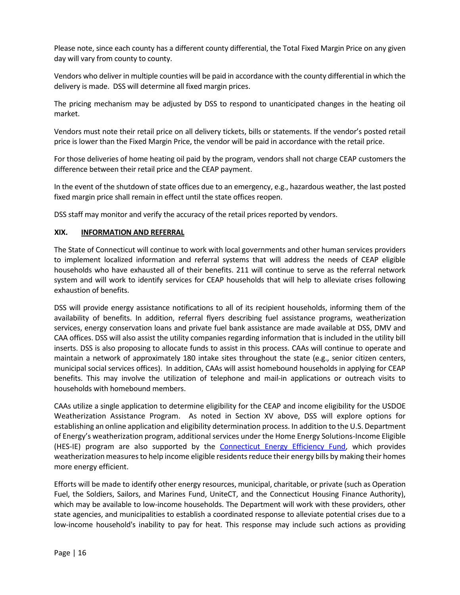Please note, since each county has a different county differential, the Total Fixed Margin Price on any given day will vary from county to county.

Vendors who deliver in multiple counties will be paid in accordance with the county differential in which the delivery is made. DSS will determine all fixed margin prices.

The pricing mechanism may be adjusted by DSS to respond to unanticipated changes in the heating oil market.

Vendors must note their retail price on all delivery tickets, bills or statements. If the vendor's posted retail price is lower than the Fixed Margin Price, the vendor will be paid in accordance with the retail price.

For those deliveries of home heating oil paid by the program, vendors shall not charge CEAP customers the difference between their retail price and the CEAP payment.

In the event of the shutdown of state offices due to an emergency, e.g., hazardous weather, the last posted fixed margin price shall remain in effect until the state offices reopen.

DSS staff may monitor and verify the accuracy of the retail prices reported by vendors.

#### **XIX. INFORMATION AND REFERRAL**

The State of Connecticut will continue to work with local governments and other human services providers to implement localized information and referral systems that will address the needs of CEAP eligible households who have exhausted all of their benefits. 211 will continue to serve as the referral network system and will work to identify services for CEAP households that will help to alleviate crises following exhaustion of benefits.

DSS will provide energy assistance notifications to all of its recipient households, informing them of the availability of benefits. In addition, referral flyers describing fuel assistance programs, weatherization services, energy conservation loans and private fuel bank assistance are made available at DSS, DMV and CAA offices. DSS will also assist the utility companies regarding information that is included in the utility bill inserts. DSS is also proposing to allocate funds to assist in this process. CAAs will continue to operate and maintain a network of approximately 180 intake sites throughout the state (e.g., senior citizen centers, municipal social services offices). In addition, CAAs will assist homebound households in applying for CEAP benefits. This may involve the utilization of telephone and mail-in applications or outreach visits to households with homebound members.

CAAs utilize a single application to determine eligibility for the CEAP and income eligibility for the USDOE Weatherization Assistance Program. As noted in Section XV above, DSS will explore options for establishing an online application and eligibility determination process. In addition to the U.S. Department of Energy's weatherization program, additional services under the Home Energy Solutions-Income Eligible (HES-IE) program are also supported by the [Connecticut Energy Efficiency Fund,](http://www.cl-p.com/Home/SaveEnergy/AboutCEEF.aspx) which provides weatherization measures to help income eligible residents reduce their energy bills by making their homes more energy efficient.

Efforts will be made to identify other energy resources, municipal, charitable, or private (such as Operation Fuel, the Soldiers, Sailors, and Marines Fund, UniteCT, and the Connecticut Housing Finance Authority), which may be available to low-income households. The Department will work with these providers, other state agencies, and municipalities to establish a coordinated response to alleviate potential crises due to a low-income household's inability to pay for heat. This response may include such actions as providing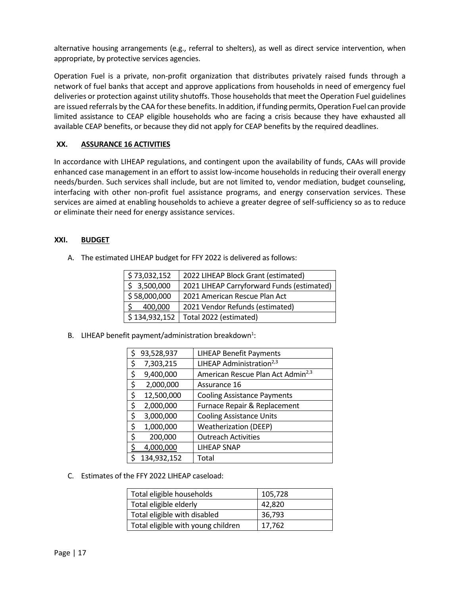alternative housing arrangements (e.g., referral to shelters), as well as direct service intervention, when appropriate, by protective services agencies.

Operation Fuel is a private, non-profit organization that distributes privately raised funds through a network of fuel banks that accept and approve applications from households in need of emergency fuel deliveries or protection against utility shutoffs. Those households that meet the Operation Fuel guidelines are issued referrals by the CAA for these benefits. In addition, if funding permits, Operation Fuel can provide limited assistance to CEAP eligible households who are facing a crisis because they have exhausted all available CEAP benefits, or because they did not apply for CEAP benefits by the required deadlines.

#### **XX. ASSURANCE 16 ACTIVITIES**

In accordance with LIHEAP regulations, and contingent upon the availability of funds, CAAs will provide enhanced case management in an effort to assist low-income households in reducing their overall energy needs/burden. Such services shall include, but are not limited to, vendor mediation, budget counseling, interfacing with other non-profit fuel assistance programs, and energy conservation services. These services are aimed at enabling households to achieve a greater degree of self-sufficiency so as to reduce or eliminate their need for energy assistance services.

#### **XXI. BUDGET**

A. The estimated LIHEAP budget for FFY 2022 is delivered as follows:

| \$73,032,152  | 2022 LIHEAP Block Grant (estimated)        |
|---------------|--------------------------------------------|
| \$3,500,000   | 2021 LIHEAP Carryforward Funds (estimated) |
| \$58,000,000  | 2021 American Rescue Plan Act              |
| 400,000       | 2021 Vendor Refunds (estimated)            |
| \$134,932,152 | Total 2022 (estimated)                     |

B. LIHEAP benefit payment/administration breakdown<sup>1</sup>:

| \$ | 93,528,937  | <b>LIHEAP Benefit Payments</b>                |
|----|-------------|-----------------------------------------------|
| \$ | 7,303,215   | LIHEAP Administration <sup>2,3</sup>          |
| \$ | 9,400,000   | American Rescue Plan Act Admin <sup>2,3</sup> |
| \$ | 2,000,000   | Assurance 16                                  |
| \$ | 12,500,000  | <b>Cooling Assistance Payments</b>            |
| \$ | 2,000,000   | Furnace Repair & Replacement                  |
| \$ | 3,000,000   | <b>Cooling Assistance Units</b>               |
| \$ | 1,000,000   | <b>Weatherization (DEEP)</b>                  |
| \$ | 200,000     | <b>Outreach Activities</b>                    |
| ς  | 4,000,000   | <b>LIHEAP SNAP</b>                            |
| Ś  | 134,932,152 | Total                                         |

C. Estimates of the FFY 2022 LIHEAP caseload:

| Total eligible households          | 105,728 |
|------------------------------------|---------|
| Total eligible elderly             | 42,820  |
| Total eligible with disabled       | 36,793  |
| Total eligible with young children | 17,762  |